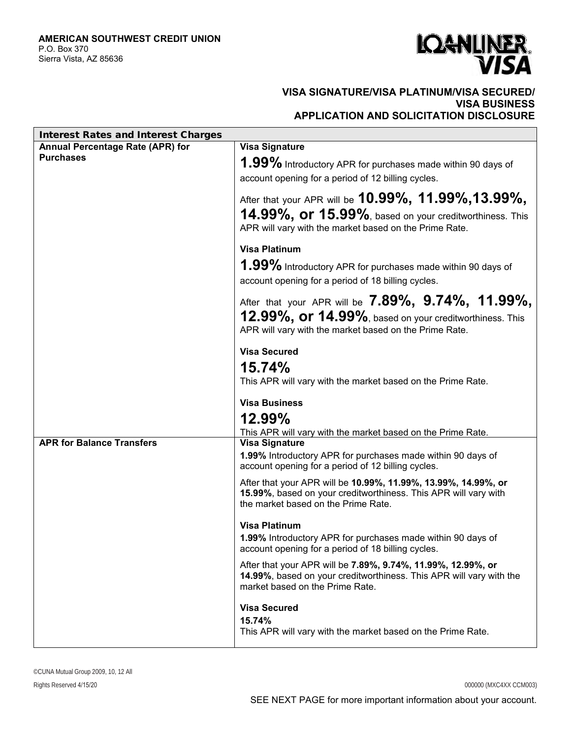

## **VISA SIGNATURE/VISA PLATINUM/VISA SECURED/ VISA BUSINESS APPLICATION AND SOLICITATION DISCLOSURE**

| Interest Rates and Interest Charges |                                                                                                                                                                                         |
|-------------------------------------|-----------------------------------------------------------------------------------------------------------------------------------------------------------------------------------------|
| Annual Percentage Rate (APR) for    | <b>Visa Signature</b>                                                                                                                                                                   |
| <b>Purchases</b>                    | $1.99\%$ Introductory APR for purchases made within 90 days of<br>account opening for a period of 12 billing cycles.                                                                    |
|                                     | After that your APR will be <b>10.99%, 11.99%, 13.99%,</b><br>$14.99\%$ , Or $15.99\%$ , based on your creditworthiness. This<br>APR will vary with the market based on the Prime Rate. |
|                                     | <b>Visa Platinum</b>                                                                                                                                                                    |
|                                     | 1.99% Introductory APR for purchases made within 90 days of<br>account opening for a period of 18 billing cycles.                                                                       |
|                                     | After that your APR will be $7.89\%$ , $9.74\%$ , $11.99\%$ ,                                                                                                                           |
|                                     | $12.99\%$ , Or $14.99\%$ , based on your creditworthiness. This<br>APR will vary with the market based on the Prime Rate.                                                               |
|                                     | <b>Visa Secured</b><br>15.74%<br>This APR will vary with the market based on the Prime Rate.                                                                                            |
|                                     | <b>Visa Business</b>                                                                                                                                                                    |
|                                     | 12.99%                                                                                                                                                                                  |
|                                     | This APR will vary with the market based on the Prime Rate.                                                                                                                             |
| <b>APR for Balance Transfers</b>    | <b>Visa Signature</b><br>1.99% Introductory APR for purchases made within 90 days of<br>account opening for a period of 12 billing cycles.                                              |
|                                     | After that your APR will be 10.99%, 11.99%, 13.99%, 14.99%, or<br>15.99%, based on your creditworthiness. This APR will vary with<br>the market based on the Prime Rate.                |
|                                     | <b>Visa Platinum</b><br>1.99% Introductory APR for purchases made within 90 days of<br>account opening for a period of 18 billing cycles.                                               |
|                                     | After that your APR will be 7.89%, 9.74%, 11.99%, 12.99%, or<br>14.99%, based on your creditworthiness. This APR will vary with the<br>market based on the Prime Rate.                  |
|                                     | <b>Visa Secured</b><br>15.74%                                                                                                                                                           |
|                                     | This APR will vary with the market based on the Prime Rate.                                                                                                                             |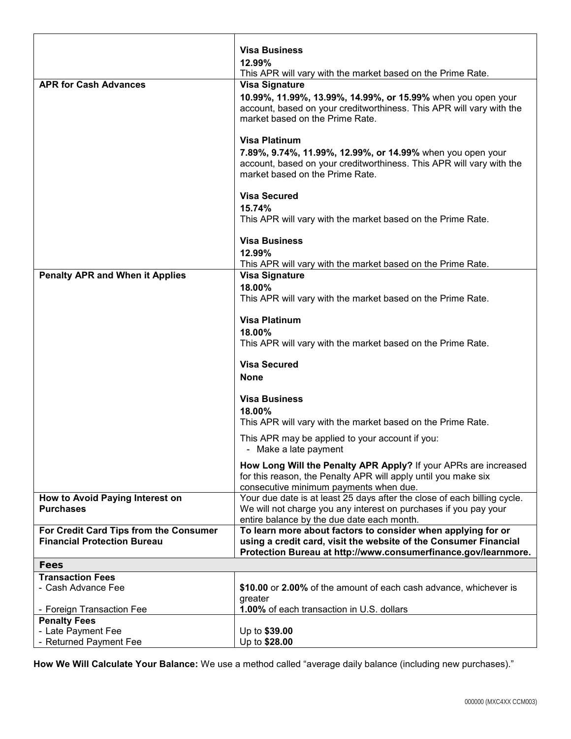|                                                                              | <b>Visa Business</b>                                                                                                                 |
|------------------------------------------------------------------------------|--------------------------------------------------------------------------------------------------------------------------------------|
|                                                                              | 12.99%                                                                                                                               |
| <b>APR for Cash Advances</b>                                                 | This APR will vary with the market based on the Prime Rate.                                                                          |
|                                                                              | <b>Visa Signature</b>                                                                                                                |
|                                                                              | 10.99%, 11.99%, 13.99%, 14.99%, or 15.99% when you open your<br>account, based on your creditworthiness. This APR will vary with the |
|                                                                              | market based on the Prime Rate.                                                                                                      |
|                                                                              |                                                                                                                                      |
|                                                                              | <b>Visa Platinum</b>                                                                                                                 |
|                                                                              | 7.89%, 9.74%, 11.99%, 12.99%, or 14.99% when you open your                                                                           |
|                                                                              | account, based on your creditworthiness. This APR will vary with the                                                                 |
|                                                                              | market based on the Prime Rate.                                                                                                      |
|                                                                              |                                                                                                                                      |
|                                                                              | <b>Visa Secured</b>                                                                                                                  |
|                                                                              | 15.74%                                                                                                                               |
|                                                                              | This APR will vary with the market based on the Prime Rate.                                                                          |
|                                                                              | <b>Visa Business</b>                                                                                                                 |
|                                                                              | 12.99%                                                                                                                               |
|                                                                              | This APR will vary with the market based on the Prime Rate.                                                                          |
| <b>Penalty APR and When it Applies</b>                                       | <b>Visa Signature</b>                                                                                                                |
|                                                                              | 18.00%                                                                                                                               |
|                                                                              | This APR will vary with the market based on the Prime Rate.                                                                          |
|                                                                              |                                                                                                                                      |
|                                                                              | <b>Visa Platinum</b>                                                                                                                 |
|                                                                              | 18.00%                                                                                                                               |
|                                                                              | This APR will vary with the market based on the Prime Rate.                                                                          |
|                                                                              | <b>Visa Secured</b>                                                                                                                  |
|                                                                              | <b>None</b>                                                                                                                          |
|                                                                              |                                                                                                                                      |
|                                                                              | <b>Visa Business</b>                                                                                                                 |
|                                                                              | 18.00%                                                                                                                               |
|                                                                              | This APR will vary with the market based on the Prime Rate.                                                                          |
|                                                                              | This APR may be applied to your account if you:                                                                                      |
|                                                                              | - Make a late payment                                                                                                                |
|                                                                              | How Long Will the Penalty APR Apply? If your APRs are increased                                                                      |
|                                                                              | for this reason, the Penalty APR will apply until you make six                                                                       |
|                                                                              | consecutive minimum payments when due.                                                                                               |
| How to Avoid Paying Interest on                                              | Your due date is at least 25 days after the close of each billing cycle.                                                             |
| <b>Purchases</b>                                                             | We will not charge you any interest on purchases if you pay your                                                                     |
|                                                                              | entire balance by the due date each month.                                                                                           |
| For Credit Card Tips from the Consumer<br><b>Financial Protection Bureau</b> | To learn more about factors to consider when applying for or<br>using a credit card, visit the website of the Consumer Financial     |
|                                                                              | Protection Bureau at http://www.consumerfinance.gov/learnmore.                                                                       |
| Fees                                                                         |                                                                                                                                      |
| <b>Transaction Fees</b>                                                      |                                                                                                                                      |
| - Cash Advance Fee                                                           | \$10.00 or 2.00% of the amount of each cash advance, whichever is                                                                    |
|                                                                              | greater                                                                                                                              |
| - Foreign Transaction Fee                                                    | 1.00% of each transaction in U.S. dollars                                                                                            |
| <b>Penalty Fees</b>                                                          |                                                                                                                                      |
| - Late Payment Fee                                                           | Up to \$39.00                                                                                                                        |
| - Returned Payment Fee                                                       | Up to \$28.00                                                                                                                        |

**How We Will Calculate Your Balance:** We use a method called "average daily balance (including new purchases)."